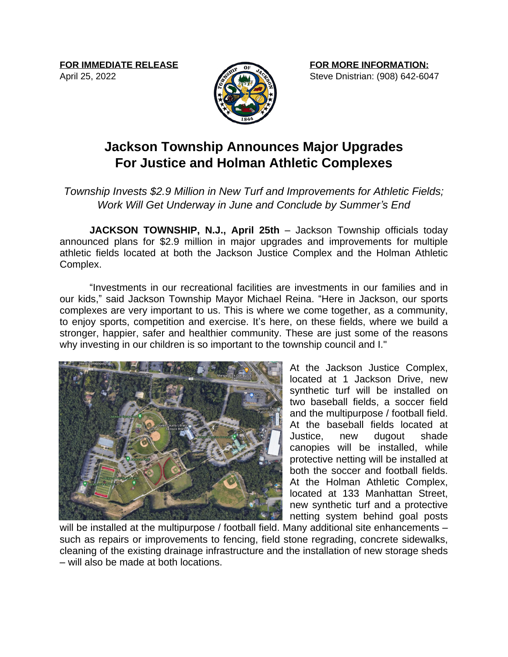**FOR IMMEDIATE RELEASE**

April 25, 2022



## **Jackson Township Announces Major Upgrades For Justice and Holman Athletic Complexes**

## *Township Invests \$2.9 Million in New Turf and Improvements for Athletic Fields; Work Will Get Underway in June and Conclude by Summer's End*

**JACKSON TOWNSHIP, N.J., April 25th** – Jackson Township officials today announced plans for \$2.9 million in major upgrades and improvements for multiple athletic fields located at both the Jackson Justice Complex and the Holman Athletic Complex.

"Investments in our recreational facilities are investments in our families and in our kids," said Jackson Township Mayor Michael Reina. "Here in Jackson, our sports complexes are very important to us. This is where we come together, as a community, to enjoy sports, competition and exercise. It's here, on these fields, where we build a stronger, happier, safer and healthier community. These are just some of the reasons why investing in our children is so important to the township council and I."



At the Jackson Justice Complex, located at 1 Jackson Drive, new synthetic turf will be installed on two baseball fields, a soccer field and the multipurpose / football field. At the baseball fields located at Justice, new dugout shade canopies will be installed, while protective netting will be installed at both the soccer and football fields. At the Holman Athletic Complex, located at 133 Manhattan Street, new synthetic turf and a protective netting system behind goal posts

will be installed at the multipurpose / football field. Many additional site enhancements – such as repairs or improvements to fencing, field stone regrading, concrete sidewalks, cleaning of the existing drainage infrastructure and the installation of new storage sheds – will also be made at both locations.